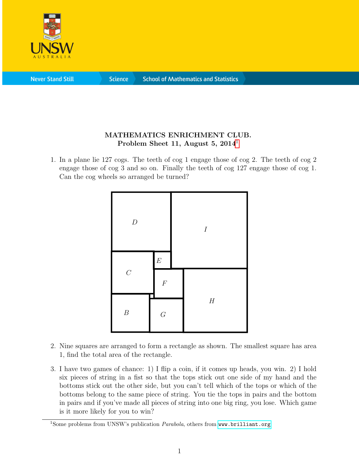

**Never Stand Still** 

**Science** 

## MATHEMATICS ENRICHMENT CLUB. Problem Sheet [1](#page-0-0)1, August 5,  $2014<sup>1</sup>$

1. In a plane lie 127 cogs. The teeth of cog 1 engage those of cog 2. The teeth of cog 2 engage those of cog 3 and so on. Finally the teeth of cog 127 engage those of cog 1. Can the cog wheels so arranged be turned?



- 2. Nine squares are arranged to form a rectangle as shown. The smallest square has area 1, find the total area of the rectangle.
- 3. I have two games of chance: 1) I flip a coin, if it comes up heads, you win. 2) I hold six pieces of string in a fist so that the tops stick out one side of my hand and the bottoms stick out the other side, but you can't tell which of the tops or which of the bottoms belong to the same piece of string. You tie the tops in pairs and the bottom in pairs and if you've made all pieces of string into one big ring, you lose. Which game is it more likely for you to win?

<span id="page-0-0"></span><sup>&</sup>lt;sup>1</sup>Some problems from UNSW's publication  $Parabola$ , others from <www.brilliant.org>